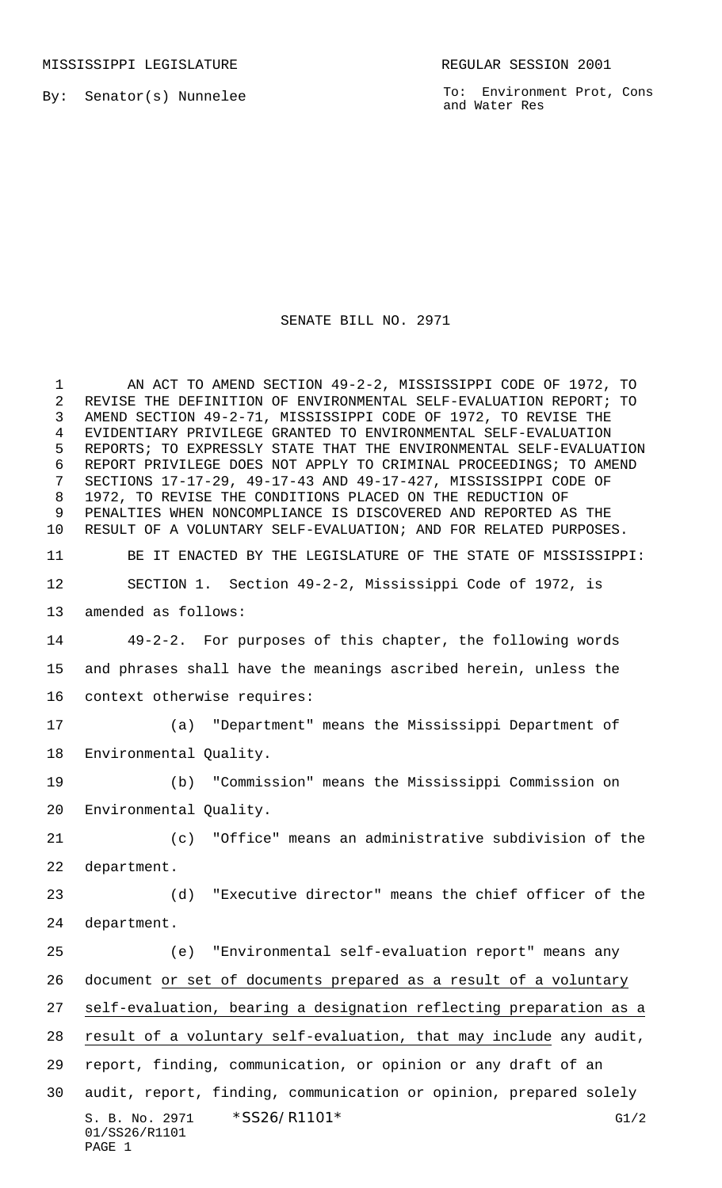MISSISSIPPI LEGISLATURE **REGULAR SESSION 2001** 

By: Senator(s) Nunnelee

To: Environment Prot, Cons and Water Res

## SENATE BILL NO. 2971

S. B. No. 2971 \* SS26/R1101\* G1/2 01/SS26/R1101 PAGE 1 1 AN ACT TO AMEND SECTION 49-2-2, MISSISSIPPI CODE OF 1972, TO REVISE THE DEFINITION OF ENVIRONMENTAL SELF-EVALUATION REPORT; TO AMEND SECTION 49-2-71, MISSISSIPPI CODE OF 1972, TO REVISE THE EVIDENTIARY PRIVILEGE GRANTED TO ENVIRONMENTAL SELF-EVALUATION REPORTS; TO EXPRESSLY STATE THAT THE ENVIRONMENTAL SELF-EVALUATION REPORT PRIVILEGE DOES NOT APPLY TO CRIMINAL PROCEEDINGS; TO AMEND SECTIONS 17-17-29, 49-17-43 AND 49-17-427, MISSISSIPPI CODE OF 1972, TO REVISE THE CONDITIONS PLACED ON THE REDUCTION OF PENALTIES WHEN NONCOMPLIANCE IS DISCOVERED AND REPORTED AS THE RESULT OF A VOLUNTARY SELF-EVALUATION; AND FOR RELATED PURPOSES. BE IT ENACTED BY THE LEGISLATURE OF THE STATE OF MISSISSIPPI: SECTION 1. Section 49-2-2, Mississippi Code of 1972, is amended as follows: 49-2-2. For purposes of this chapter, the following words and phrases shall have the meanings ascribed herein, unless the context otherwise requires: (a) "Department" means the Mississippi Department of Environmental Quality. (b) "Commission" means the Mississippi Commission on Environmental Quality. (c) "Office" means an administrative subdivision of the department. (d) "Executive director" means the chief officer of the department. (e) "Environmental self-evaluation report" means any document or set of documents prepared as a result of a voluntary self-evaluation, bearing a designation reflecting preparation as a result of a voluntary self-evaluation, that may include any audit, report, finding, communication, or opinion or any draft of an audit, report, finding, communication or opinion, prepared solely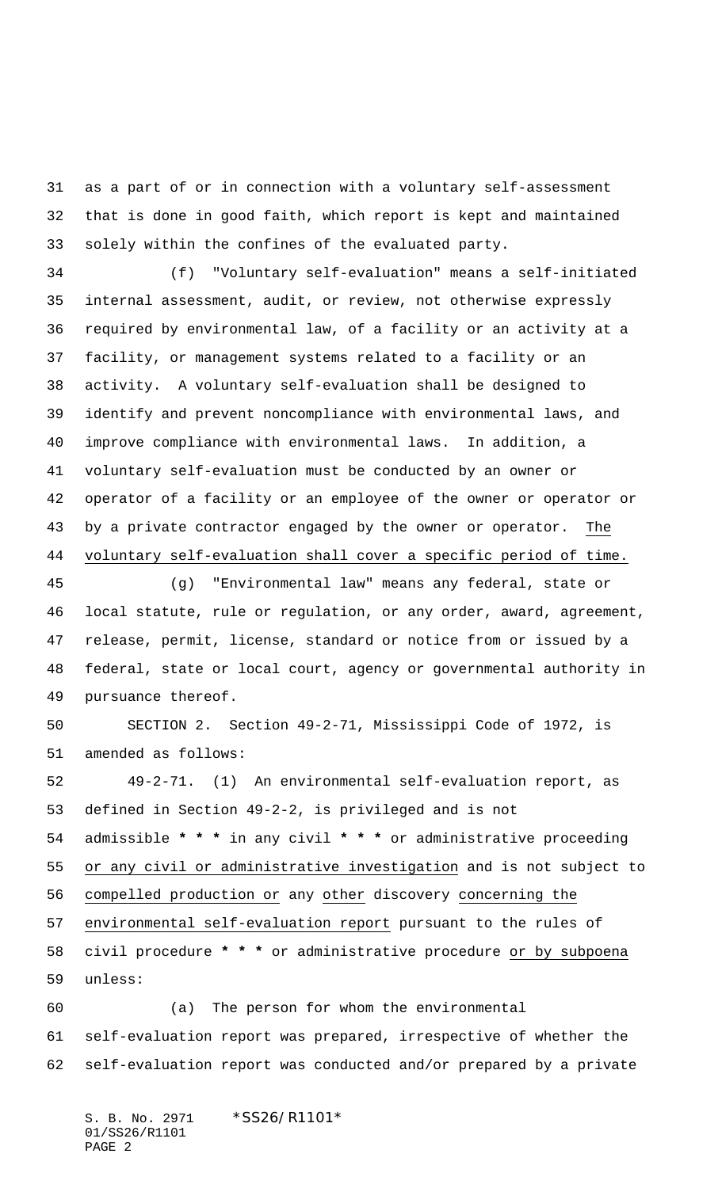as a part of or in connection with a voluntary self-assessment that is done in good faith, which report is kept and maintained solely within the confines of the evaluated party.

 (f) "Voluntary self-evaluation" means a self-initiated internal assessment, audit, or review, not otherwise expressly required by environmental law, of a facility or an activity at a facility, or management systems related to a facility or an activity. A voluntary self-evaluation shall be designed to identify and prevent noncompliance with environmental laws, and improve compliance with environmental laws. In addition, a voluntary self-evaluation must be conducted by an owner or operator of a facility or an employee of the owner or operator or by a private contractor engaged by the owner or operator. The voluntary self-evaluation shall cover a specific period of time.

 (g) "Environmental law" means any federal, state or local statute, rule or regulation, or any order, award, agreement, release, permit, license, standard or notice from or issued by a federal, state or local court, agency or governmental authority in pursuance thereof.

 SECTION 2. Section 49-2-71, Mississippi Code of 1972, is amended as follows:

 49-2-71. (1) An environmental self-evaluation report, as defined in Section 49-2-2, is privileged and is not admissible **\* \* \*** in any civil **\* \* \*** or administrative proceeding 55 or any civil or administrative investigation and is not subject to compelled production or any other discovery concerning the environmental self-evaluation report pursuant to the rules of civil procedure **\* \* \*** or administrative procedure or by subpoena unless:

 (a) The person for whom the environmental self-evaluation report was prepared, irrespective of whether the self-evaluation report was conducted and/or prepared by a private

S. B. No. 2971 \*SS26/R1101\* 01/SS26/R1101 PAGE 2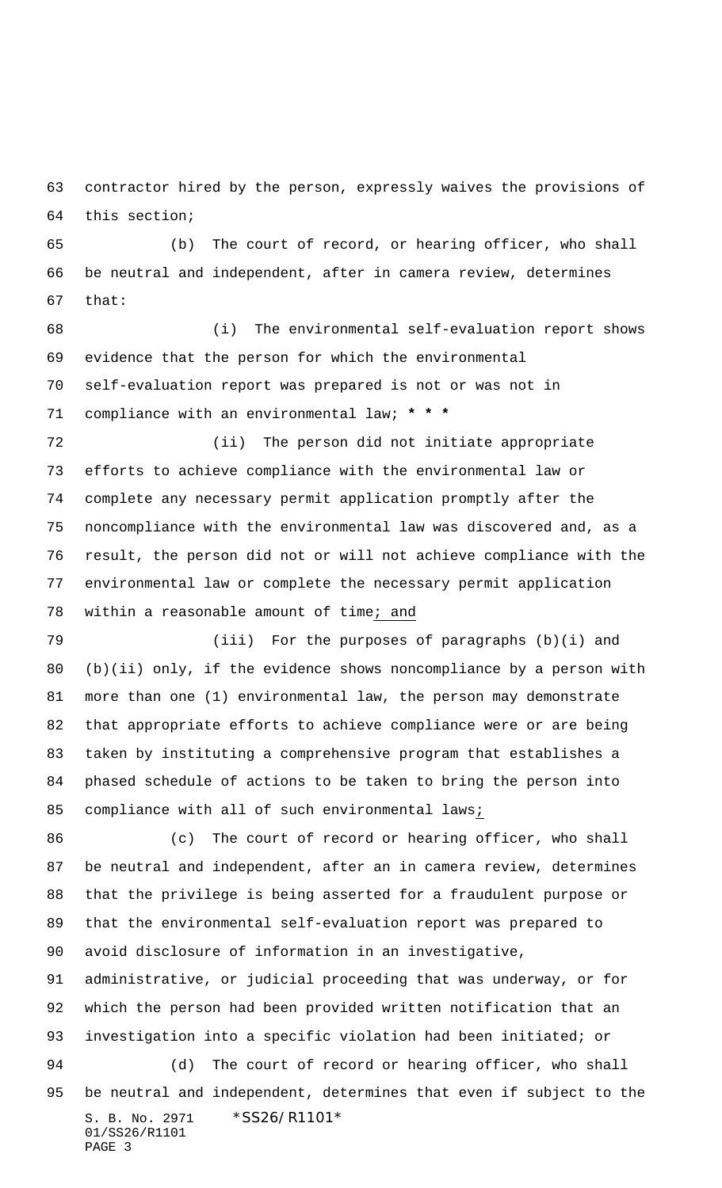contractor hired by the person, expressly waives the provisions of this section;

 (b) The court of record, or hearing officer, who shall be neutral and independent, after in camera review, determines that:

 (i) The environmental self-evaluation report shows evidence that the person for which the environmental self-evaluation report was prepared is not or was not in compliance with an environmental law; **\* \* \***

 (ii) The person did not initiate appropriate efforts to achieve compliance with the environmental law or complete any necessary permit application promptly after the noncompliance with the environmental law was discovered and, as a result, the person did not or will not achieve compliance with the environmental law or complete the necessary permit application 78 within a reasonable amount of time; and

 (iii) For the purposes of paragraphs (b)(i) and (b)(ii) only, if the evidence shows noncompliance by a person with more than one (1) environmental law, the person may demonstrate that appropriate efforts to achieve compliance were or are being taken by instituting a comprehensive program that establishes a phased schedule of actions to be taken to bring the person into 85 compliance with all of such environmental laws;

 (c) The court of record or hearing officer, who shall be neutral and independent, after an in camera review, determines that the privilege is being asserted for a fraudulent purpose or that the environmental self-evaluation report was prepared to avoid disclosure of information in an investigative,

 administrative, or judicial proceeding that was underway, or for which the person had been provided written notification that an investigation into a specific violation had been initiated; or

S. B. No. 2971 \* SS26/R1101\* 01/SS26/R1101 PAGE 3 (d) The court of record or hearing officer, who shall be neutral and independent, determines that even if subject to the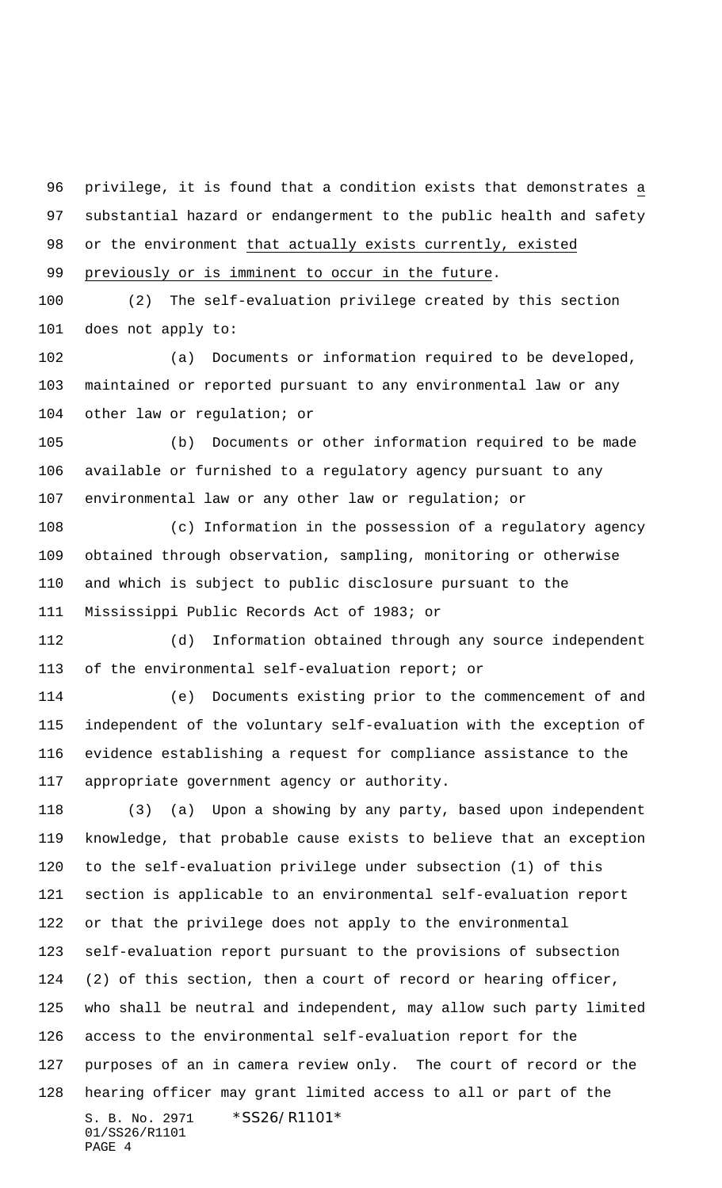privilege, it is found that a condition exists that demonstrates a substantial hazard or endangerment to the public health and safety or the environment that actually exists currently, existed 99 previously or is imminent to occur in the future.

 (2) The self-evaluation privilege created by this section does not apply to:

 (a) Documents or information required to be developed, maintained or reported pursuant to any environmental law or any other law or regulation; or

 (b) Documents or other information required to be made available or furnished to a regulatory agency pursuant to any environmental law or any other law or regulation; or

 (c) Information in the possession of a regulatory agency obtained through observation, sampling, monitoring or otherwise and which is subject to public disclosure pursuant to the Mississippi Public Records Act of 1983; or

 (d) Information obtained through any source independent of the environmental self-evaluation report; or

 (e) Documents existing prior to the commencement of and independent of the voluntary self-evaluation with the exception of evidence establishing a request for compliance assistance to the appropriate government agency or authority.

S. B. No. 2971 \*SS26/R1101\* 01/SS26/R1101 PAGE 4 (3) (a) Upon a showing by any party, based upon independent knowledge, that probable cause exists to believe that an exception to the self-evaluation privilege under subsection (1) of this section is applicable to an environmental self-evaluation report or that the privilege does not apply to the environmental self-evaluation report pursuant to the provisions of subsection (2) of this section, then a court of record or hearing officer, who shall be neutral and independent, may allow such party limited access to the environmental self-evaluation report for the purposes of an in camera review only. The court of record or the hearing officer may grant limited access to all or part of the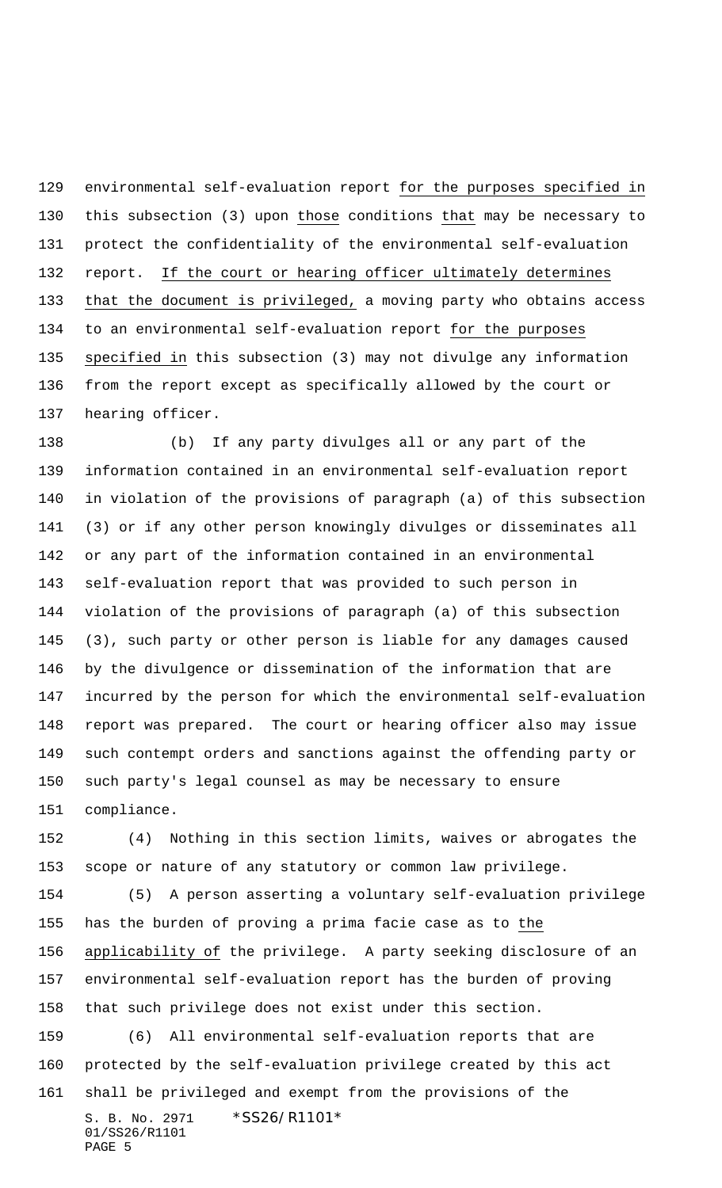environmental self-evaluation report for the purposes specified in this subsection (3) upon those conditions that may be necessary to protect the confidentiality of the environmental self-evaluation 132 report. If the court or hearing officer ultimately determines that the document is privileged, a moving party who obtains access to an environmental self-evaluation report for the purposes specified in this subsection (3) may not divulge any information from the report except as specifically allowed by the court or hearing officer.

 (b) If any party divulges all or any part of the information contained in an environmental self-evaluation report in violation of the provisions of paragraph (a) of this subsection (3) or if any other person knowingly divulges or disseminates all or any part of the information contained in an environmental self-evaluation report that was provided to such person in violation of the provisions of paragraph (a) of this subsection (3), such party or other person is liable for any damages caused by the divulgence or dissemination of the information that are incurred by the person for which the environmental self-evaluation report was prepared. The court or hearing officer also may issue such contempt orders and sanctions against the offending party or such party's legal counsel as may be necessary to ensure compliance.

 (4) Nothing in this section limits, waives or abrogates the scope or nature of any statutory or common law privilege.

S. B. No. 2971 \*SS26/R1101\* 01/SS26/R1101 PAGE 5 (5) A person asserting a voluntary self-evaluation privilege has the burden of proving a prima facie case as to the applicability of the privilege. A party seeking disclosure of an environmental self-evaluation report has the burden of proving that such privilege does not exist under this section. (6) All environmental self-evaluation reports that are protected by the self-evaluation privilege created by this act shall be privileged and exempt from the provisions of the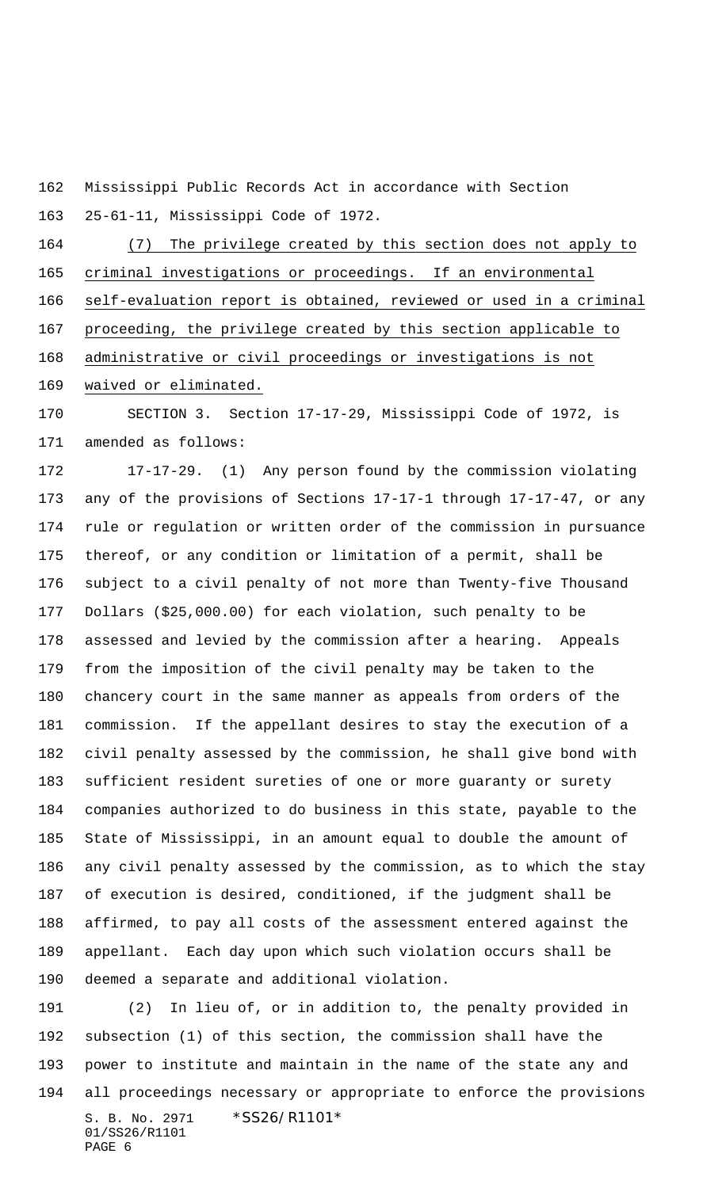Mississippi Public Records Act in accordance with Section 25-61-11, Mississippi Code of 1972.

 (7) The privilege created by this section does not apply to criminal investigations or proceedings. If an environmental self-evaluation report is obtained, reviewed or used in a criminal proceeding, the privilege created by this section applicable to administrative or civil proceedings or investigations is not waived or eliminated.

 SECTION 3. Section 17-17-29, Mississippi Code of 1972, is amended as follows:

 17-17-29. (1) Any person found by the commission violating any of the provisions of Sections 17-17-1 through 17-17-47, or any rule or regulation or written order of the commission in pursuance thereof, or any condition or limitation of a permit, shall be subject to a civil penalty of not more than Twenty-five Thousand Dollars (\$25,000.00) for each violation, such penalty to be assessed and levied by the commission after a hearing. Appeals from the imposition of the civil penalty may be taken to the chancery court in the same manner as appeals from orders of the commission. If the appellant desires to stay the execution of a civil penalty assessed by the commission, he shall give bond with sufficient resident sureties of one or more guaranty or surety companies authorized to do business in this state, payable to the State of Mississippi, in an amount equal to double the amount of any civil penalty assessed by the commission, as to which the stay of execution is desired, conditioned, if the judgment shall be affirmed, to pay all costs of the assessment entered against the appellant. Each day upon which such violation occurs shall be deemed a separate and additional violation.

S. B. No. 2971 \*SS26/R1101\* 01/SS26/R1101 PAGE 6 (2) In lieu of, or in addition to, the penalty provided in subsection (1) of this section, the commission shall have the power to institute and maintain in the name of the state any and all proceedings necessary or appropriate to enforce the provisions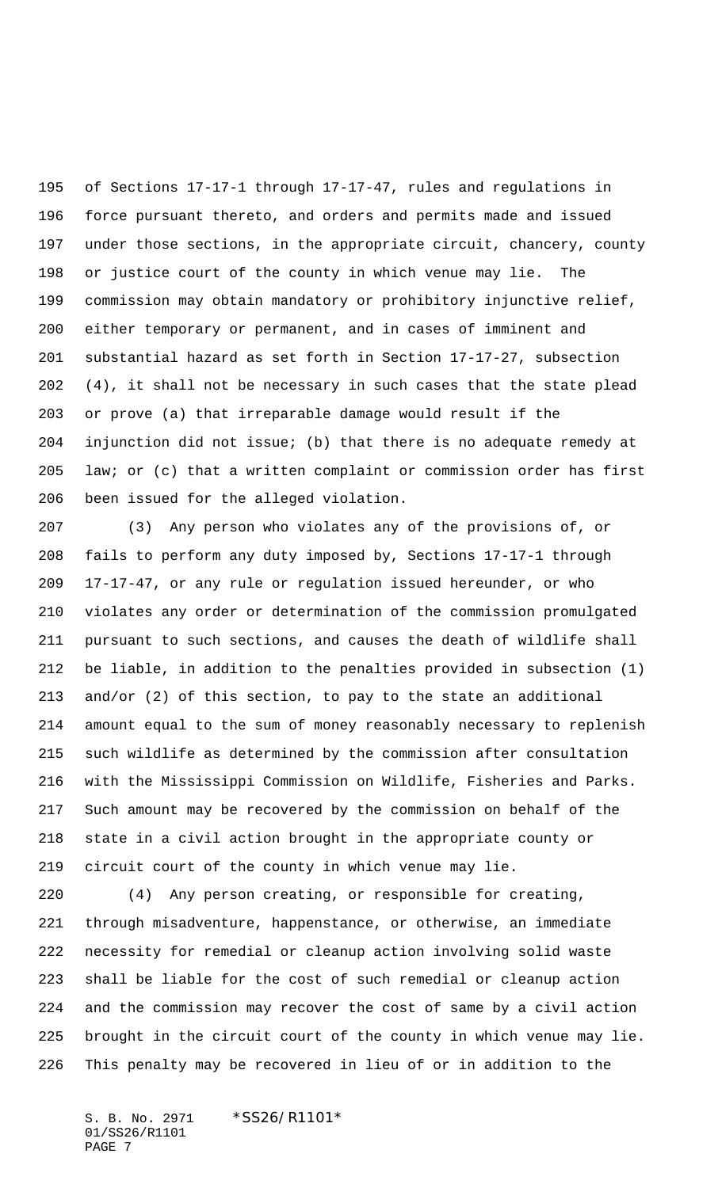of Sections 17-17-1 through 17-17-47, rules and regulations in force pursuant thereto, and orders and permits made and issued under those sections, in the appropriate circuit, chancery, county or justice court of the county in which venue may lie. The commission may obtain mandatory or prohibitory injunctive relief, either temporary or permanent, and in cases of imminent and substantial hazard as set forth in Section 17-17-27, subsection (4), it shall not be necessary in such cases that the state plead or prove (a) that irreparable damage would result if the injunction did not issue; (b) that there is no adequate remedy at law; or (c) that a written complaint or commission order has first been issued for the alleged violation.

 (3) Any person who violates any of the provisions of, or fails to perform any duty imposed by, Sections 17-17-1 through 17-17-47, or any rule or regulation issued hereunder, or who violates any order or determination of the commission promulgated pursuant to such sections, and causes the death of wildlife shall be liable, in addition to the penalties provided in subsection (1) and/or (2) of this section, to pay to the state an additional amount equal to the sum of money reasonably necessary to replenish such wildlife as determined by the commission after consultation with the Mississippi Commission on Wildlife, Fisheries and Parks. Such amount may be recovered by the commission on behalf of the state in a civil action brought in the appropriate county or circuit court of the county in which venue may lie.

 (4) Any person creating, or responsible for creating, through misadventure, happenstance, or otherwise, an immediate necessity for remedial or cleanup action involving solid waste shall be liable for the cost of such remedial or cleanup action and the commission may recover the cost of same by a civil action brought in the circuit court of the county in which venue may lie. This penalty may be recovered in lieu of or in addition to the

S. B. No. 2971 \*SS26/R1101\* 01/SS26/R1101 PAGE 7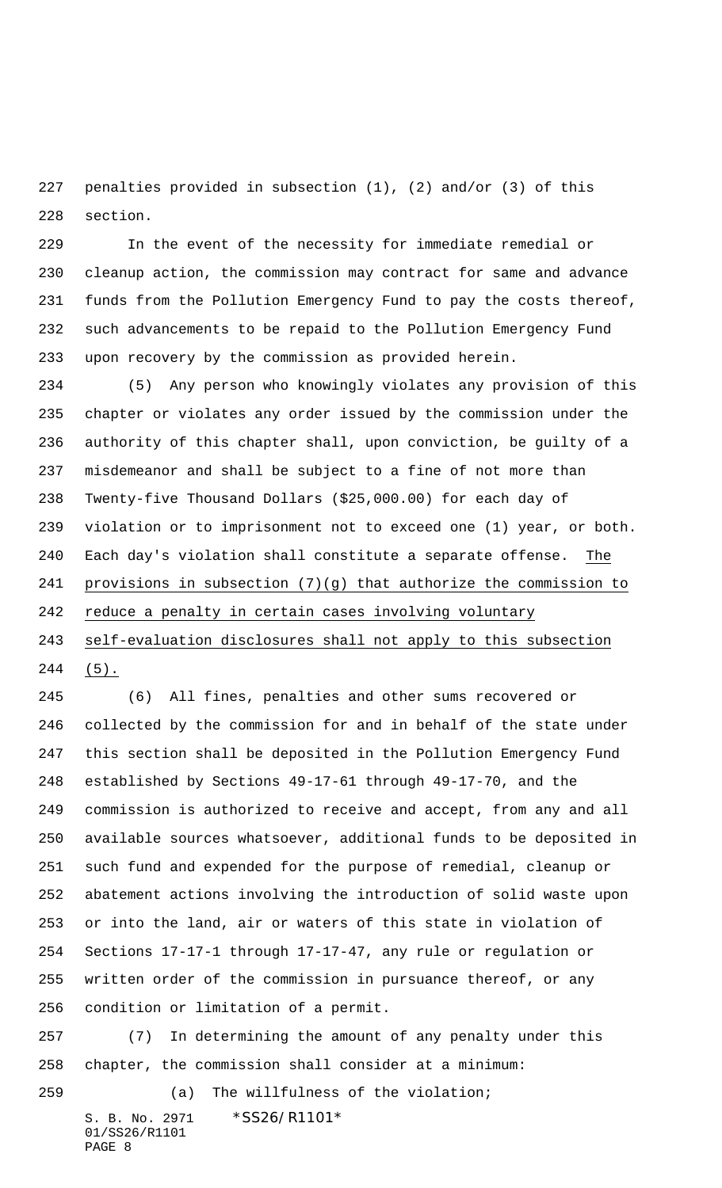penalties provided in subsection (1), (2) and/or (3) of this section.

 In the event of the necessity for immediate remedial or cleanup action, the commission may contract for same and advance funds from the Pollution Emergency Fund to pay the costs thereof, such advancements to be repaid to the Pollution Emergency Fund upon recovery by the commission as provided herein.

 (5) Any person who knowingly violates any provision of this chapter or violates any order issued by the commission under the authority of this chapter shall, upon conviction, be guilty of a misdemeanor and shall be subject to a fine of not more than Twenty-five Thousand Dollars (\$25,000.00) for each day of violation or to imprisonment not to exceed one (1) year, or both. Each day's violation shall constitute a separate offense. The provisions in subsection (7)(g) that authorize the commission to reduce a penalty in certain cases involving voluntary self-evaluation disclosures shall not apply to this subsection

 $244 \t(5)$ .

 (6) All fines, penalties and other sums recovered or collected by the commission for and in behalf of the state under this section shall be deposited in the Pollution Emergency Fund established by Sections 49-17-61 through 49-17-70, and the commission is authorized to receive and accept, from any and all available sources whatsoever, additional funds to be deposited in such fund and expended for the purpose of remedial, cleanup or abatement actions involving the introduction of solid waste upon or into the land, air or waters of this state in violation of Sections 17-17-1 through 17-17-47, any rule or regulation or written order of the commission in pursuance thereof, or any condition or limitation of a permit.

 (7) In determining the amount of any penalty under this chapter, the commission shall consider at a minimum:

S. B. No. 2971 \* SS26/R1101\* (a) The willfulness of the violation;

01/SS26/R1101 PAGE 8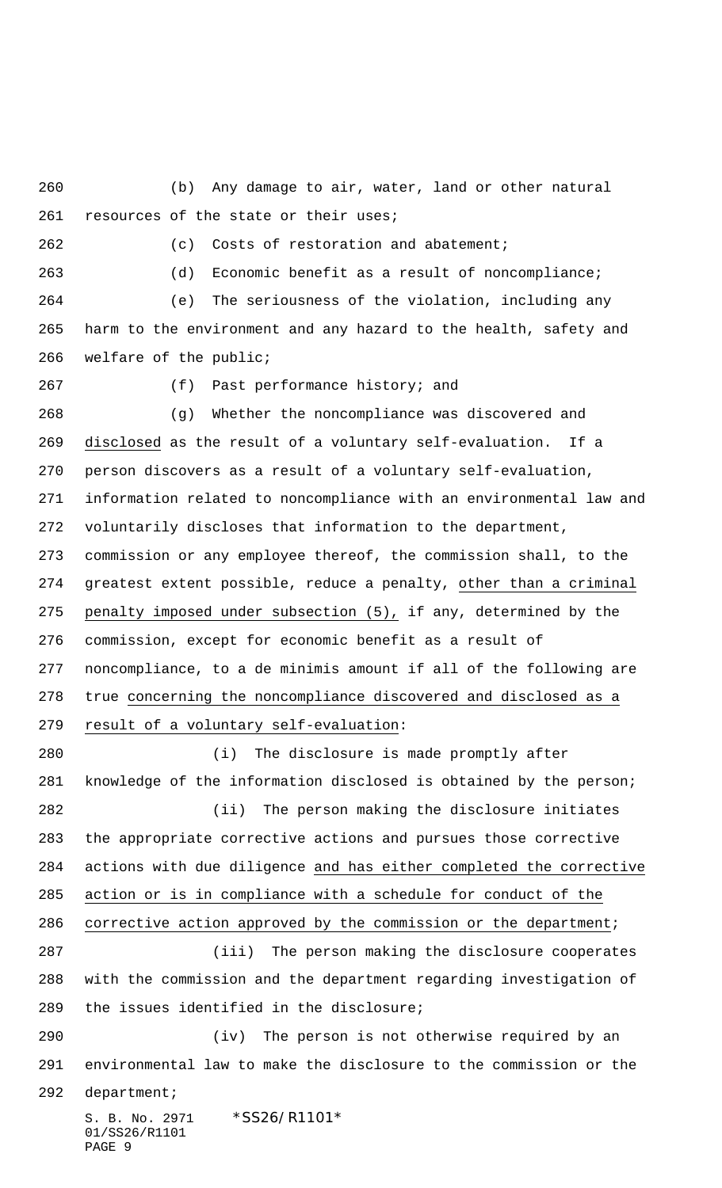(b) Any damage to air, water, land or other natural 261 resources of the state or their uses;

(c) Costs of restoration and abatement;

(d) Economic benefit as a result of noncompliance;

 (e) The seriousness of the violation, including any harm to the environment and any hazard to the health, safety and welfare of the public;

(f) Past performance history; and

 (g) Whether the noncompliance was discovered and disclosed as the result of a voluntary self-evaluation. If a person discovers as a result of a voluntary self-evaluation, information related to noncompliance with an environmental law and voluntarily discloses that information to the department, commission or any employee thereof, the commission shall, to the 274 greatest extent possible, reduce a penalty, other than a criminal penalty imposed under subsection (5), if any, determined by the commission, except for economic benefit as a result of noncompliance, to a de minimis amount if all of the following are true concerning the noncompliance discovered and disclosed as a result of a voluntary self-evaluation:

 (i) The disclosure is made promptly after knowledge of the information disclosed is obtained by the person; (ii) The person making the disclosure initiates the appropriate corrective actions and pursues those corrective actions with due diligence and has either completed the corrective action or is in compliance with a schedule for conduct of the corrective action approved by the commission or the department; (iii) The person making the disclosure cooperates with the commission and the department regarding investigation of the issues identified in the disclosure; (iv) The person is not otherwise required by an environmental law to make the disclosure to the commission or the department;

S. B. No. 2971 \* SS26/R1101\* 01/SS26/R1101 PAGE 9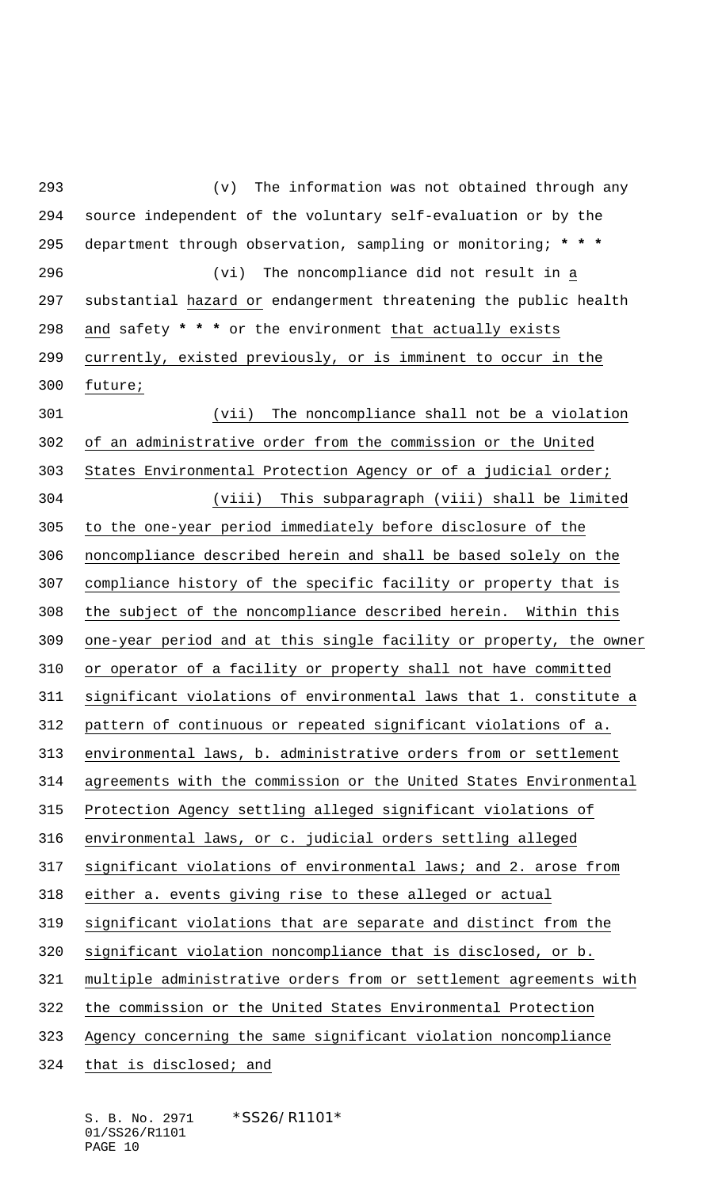(v) The information was not obtained through any source independent of the voluntary self-evaluation or by the department through observation, sampling or monitoring; **\* \* \*** (vi) The noncompliance did not result in a substantial hazard or endangerment threatening the public health and safety **\* \* \*** or the environment that actually exists currently, existed previously, or is imminent to occur in the future; (vii) The noncompliance shall not be a violation of an administrative order from the commission or the United States Environmental Protection Agency or of a judicial order; (viii) This subparagraph (viii) shall be limited to the one-year period immediately before disclosure of the noncompliance described herein and shall be based solely on the compliance history of the specific facility or property that is the subject of the noncompliance described herein. Within this one-year period and at this single facility or property, the owner or operator of a facility or property shall not have committed significant violations of environmental laws that 1. constitute a pattern of continuous or repeated significant violations of a. environmental laws, b. administrative orders from or settlement agreements with the commission or the United States Environmental Protection Agency settling alleged significant violations of environmental laws, or c. judicial orders settling alleged significant violations of environmental laws; and 2. arose from either a. events giving rise to these alleged or actual significant violations that are separate and distinct from the significant violation noncompliance that is disclosed, or b. multiple administrative orders from or settlement agreements with the commission or the United States Environmental Protection Agency concerning the same significant violation noncompliance that is disclosed; and

S. B. No. 2971 \* SS26/R1101\* 01/SS26/R1101 PAGE 10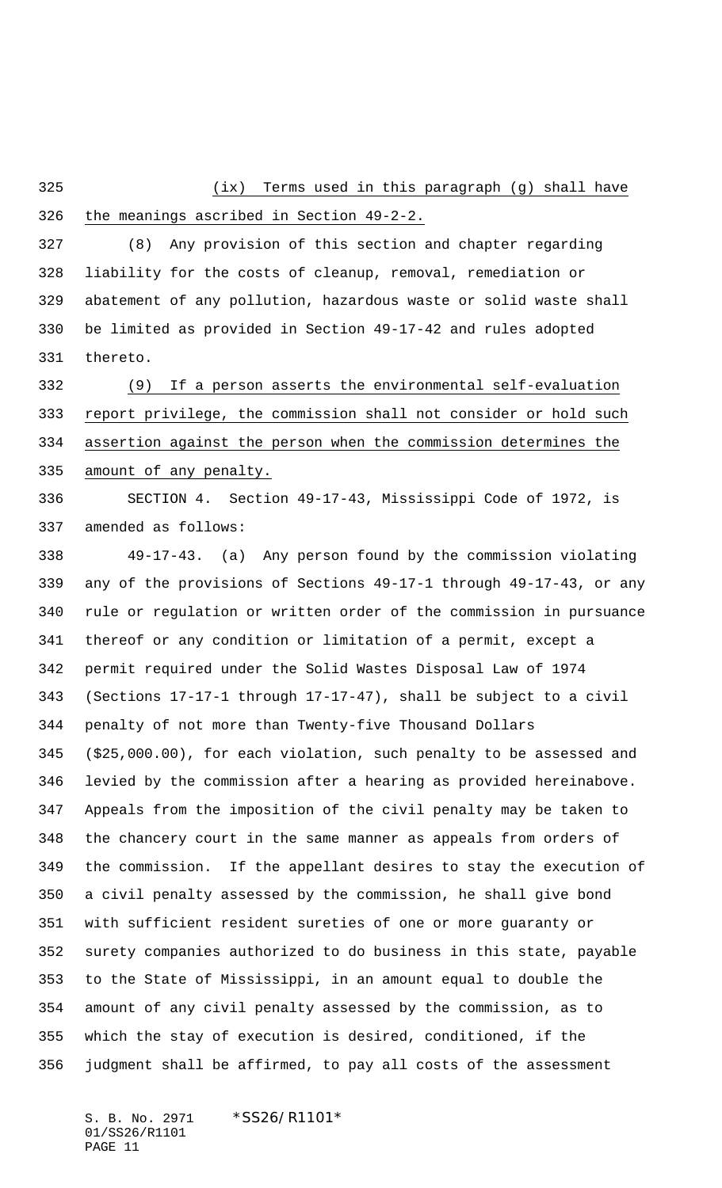(ix) Terms used in this paragraph (g) shall have

## the meanings ascribed in Section 49-2-2.

 (8) Any provision of this section and chapter regarding liability for the costs of cleanup, removal, remediation or abatement of any pollution, hazardous waste or solid waste shall be limited as provided in Section 49-17-42 and rules adopted thereto.

 (9) If a person asserts the environmental self-evaluation report privilege, the commission shall not consider or hold such assertion against the person when the commission determines the 335 amount of any penalty.

 SECTION 4. Section 49-17-43, Mississippi Code of 1972, is amended as follows:

 49-17-43. (a) Any person found by the commission violating any of the provisions of Sections 49-17-1 through 49-17-43, or any rule or regulation or written order of the commission in pursuance thereof or any condition or limitation of a permit, except a permit required under the Solid Wastes Disposal Law of 1974 (Sections 17-17-1 through 17-17-47), shall be subject to a civil penalty of not more than Twenty-five Thousand Dollars (\$25,000.00), for each violation, such penalty to be assessed and levied by the commission after a hearing as provided hereinabove. Appeals from the imposition of the civil penalty may be taken to the chancery court in the same manner as appeals from orders of the commission. If the appellant desires to stay the execution of a civil penalty assessed by the commission, he shall give bond with sufficient resident sureties of one or more guaranty or surety companies authorized to do business in this state, payable to the State of Mississippi, in an amount equal to double the amount of any civil penalty assessed by the commission, as to which the stay of execution is desired, conditioned, if the judgment shall be affirmed, to pay all costs of the assessment

S. B. No. 2971 \* SS26/R1101\* 01/SS26/R1101 PAGE 11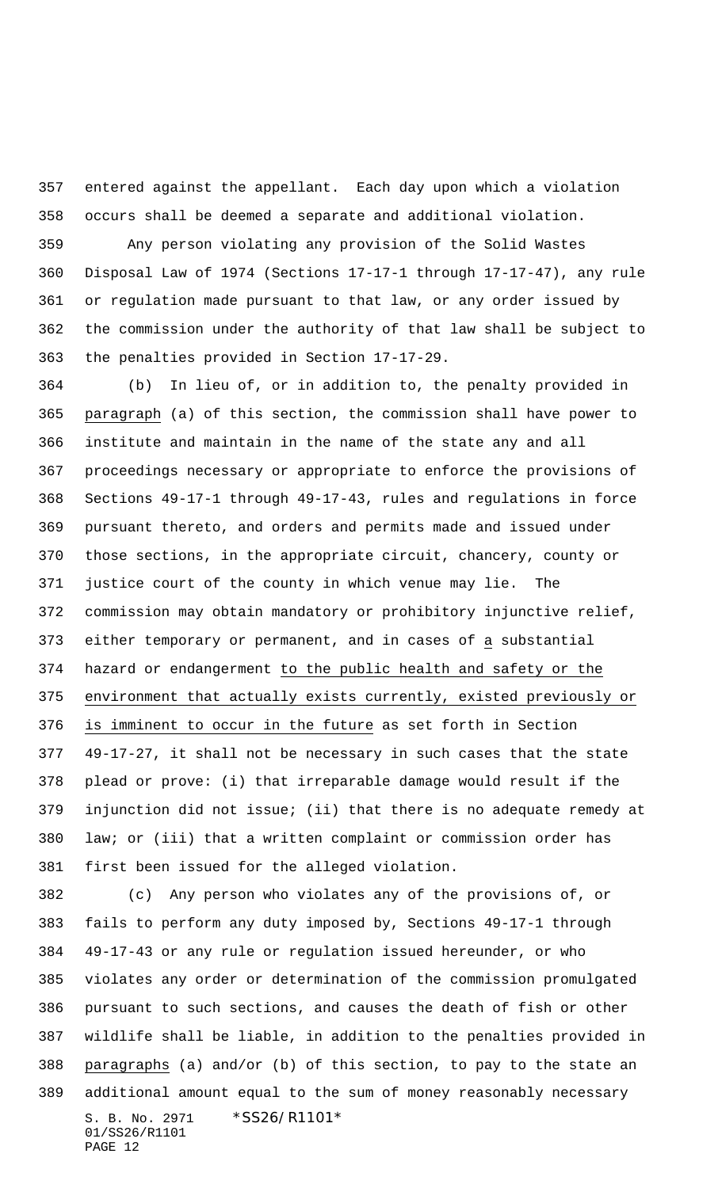entered against the appellant. Each day upon which a violation occurs shall be deemed a separate and additional violation.

 Any person violating any provision of the Solid Wastes Disposal Law of 1974 (Sections 17-17-1 through 17-17-47), any rule or regulation made pursuant to that law, or any order issued by the commission under the authority of that law shall be subject to the penalties provided in Section 17-17-29.

 (b) In lieu of, or in addition to, the penalty provided in paragraph (a) of this section, the commission shall have power to institute and maintain in the name of the state any and all proceedings necessary or appropriate to enforce the provisions of Sections 49-17-1 through 49-17-43, rules and regulations in force pursuant thereto, and orders and permits made and issued under those sections, in the appropriate circuit, chancery, county or justice court of the county in which venue may lie. The commission may obtain mandatory or prohibitory injunctive relief, either temporary or permanent, and in cases of a substantial hazard or endangerment to the public health and safety or the environment that actually exists currently, existed previously or is imminent to occur in the future as set forth in Section 49-17-27, it shall not be necessary in such cases that the state plead or prove: (i) that irreparable damage would result if the injunction did not issue; (ii) that there is no adequate remedy at law; or (iii) that a written complaint or commission order has first been issued for the alleged violation.

S. B. No. 2971 \*SS26/R1101\* 01/SS26/R1101 PAGE 12 (c) Any person who violates any of the provisions of, or fails to perform any duty imposed by, Sections 49-17-1 through 49-17-43 or any rule or regulation issued hereunder, or who violates any order or determination of the commission promulgated pursuant to such sections, and causes the death of fish or other wildlife shall be liable, in addition to the penalties provided in paragraphs (a) and/or (b) of this section, to pay to the state an additional amount equal to the sum of money reasonably necessary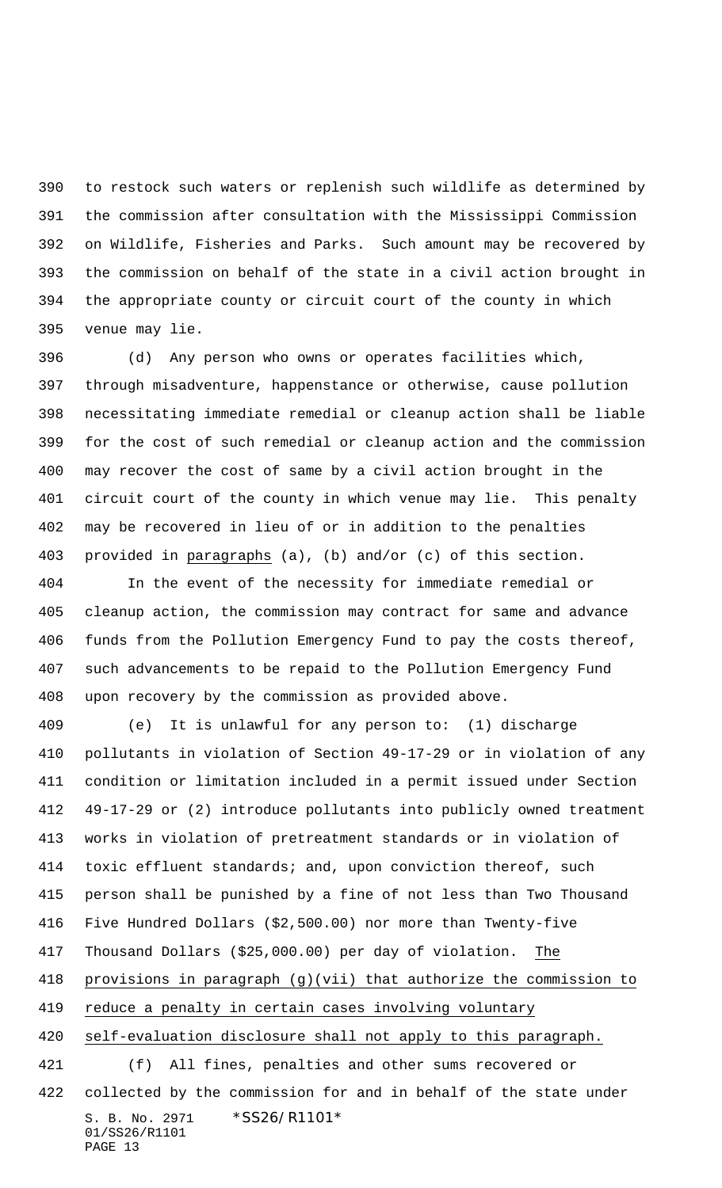to restock such waters or replenish such wildlife as determined by the commission after consultation with the Mississippi Commission on Wildlife, Fisheries and Parks. Such amount may be recovered by the commission on behalf of the state in a civil action brought in the appropriate county or circuit court of the county in which venue may lie.

 (d) Any person who owns or operates facilities which, through misadventure, happenstance or otherwise, cause pollution necessitating immediate remedial or cleanup action shall be liable for the cost of such remedial or cleanup action and the commission may recover the cost of same by a civil action brought in the circuit court of the county in which venue may lie. This penalty may be recovered in lieu of or in addition to the penalties provided in paragraphs (a), (b) and/or (c) of this section.

 In the event of the necessity for immediate remedial or cleanup action, the commission may contract for same and advance funds from the Pollution Emergency Fund to pay the costs thereof, such advancements to be repaid to the Pollution Emergency Fund upon recovery by the commission as provided above.

S. B. No. 2971 \*SS26/R1101\* (e) It is unlawful for any person to: (1) discharge pollutants in violation of Section 49-17-29 or in violation of any condition or limitation included in a permit issued under Section 49-17-29 or (2) introduce pollutants into publicly owned treatment works in violation of pretreatment standards or in violation of toxic effluent standards; and, upon conviction thereof, such person shall be punished by a fine of not less than Two Thousand Five Hundred Dollars (\$2,500.00) nor more than Twenty-five Thousand Dollars (\$25,000.00) per day of violation. The provisions in paragraph (g)(vii) that authorize the commission to reduce a penalty in certain cases involving voluntary self-evaluation disclosure shall not apply to this paragraph. (f) All fines, penalties and other sums recovered or collected by the commission for and in behalf of the state under

01/SS26/R1101 PAGE 13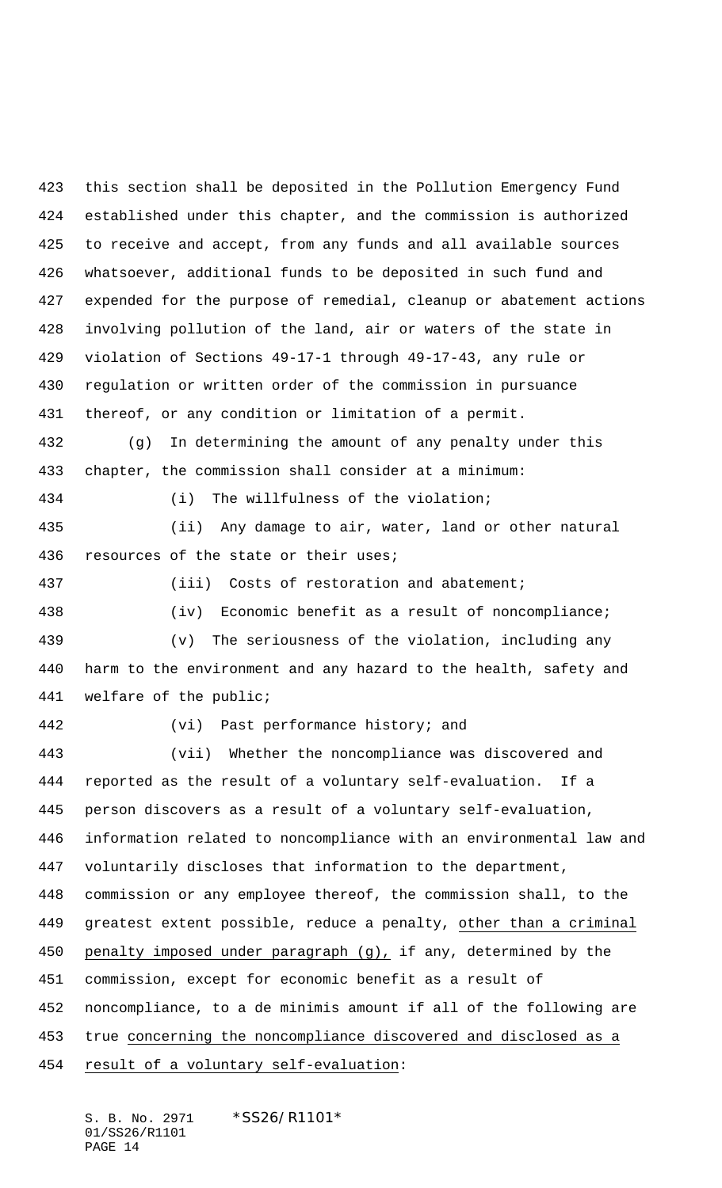this section shall be deposited in the Pollution Emergency Fund established under this chapter, and the commission is authorized to receive and accept, from any funds and all available sources whatsoever, additional funds to be deposited in such fund and expended for the purpose of remedial, cleanup or abatement actions involving pollution of the land, air or waters of the state in violation of Sections 49-17-1 through 49-17-43, any rule or regulation or written order of the commission in pursuance thereof, or any condition or limitation of a permit. (g) In determining the amount of any penalty under this chapter, the commission shall consider at a minimum: (i) The willfulness of the violation; (ii) Any damage to air, water, land or other natural resources of the state or their uses; (iii) Costs of restoration and abatement; (iv) Economic benefit as a result of noncompliance; (v) The seriousness of the violation, including any harm to the environment and any hazard to the health, safety and welfare of the public; (vi) Past performance history; and (vii) Whether the noncompliance was discovered and reported as the result of a voluntary self-evaluation. If a person discovers as a result of a voluntary self-evaluation, information related to noncompliance with an environmental law and voluntarily discloses that information to the department, commission or any employee thereof, the commission shall, to the greatest extent possible, reduce a penalty, other than a criminal penalty imposed under paragraph (g), if any, determined by the commission, except for economic benefit as a result of noncompliance, to a de minimis amount if all of the following are true concerning the noncompliance discovered and disclosed as a result of a voluntary self-evaluation:

S. B. No. 2971 \*SS26/R1101\* 01/SS26/R1101 PAGE 14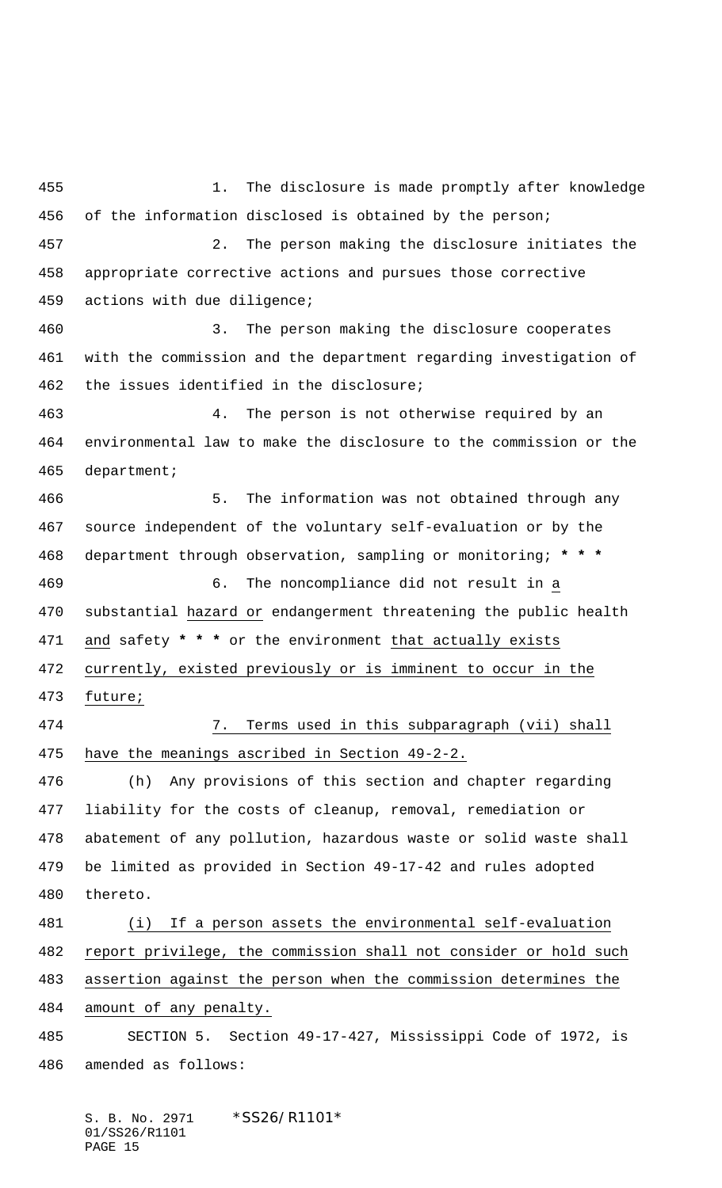1. The disclosure is made promptly after knowledge of the information disclosed is obtained by the person; 2. The person making the disclosure initiates the appropriate corrective actions and pursues those corrective actions with due diligence; 3. The person making the disclosure cooperates with the commission and the department regarding investigation of the issues identified in the disclosure; 4. The person is not otherwise required by an environmental law to make the disclosure to the commission or the department; 5. The information was not obtained through any source independent of the voluntary self-evaluation or by the department through observation, sampling or monitoring; **\* \* \*** 6. The noncompliance did not result in a substantial hazard or endangerment threatening the public health and safety **\* \* \*** or the environment that actually exists currently, existed previously or is imminent to occur in the future; 7. Terms used in this subparagraph (vii) shall have the meanings ascribed in Section 49-2-2. (h) Any provisions of this section and chapter regarding liability for the costs of cleanup, removal, remediation or abatement of any pollution, hazardous waste or solid waste shall be limited as provided in Section 49-17-42 and rules adopted thereto. (i) If a person assets the environmental self-evaluation report privilege, the commission shall not consider or hold such assertion against the person when the commission determines the amount of any penalty. SECTION 5. Section 49-17-427, Mississippi Code of 1972, is amended as follows:

S. B. No. 2971 \*SS26/R1101\* 01/SS26/R1101 PAGE 15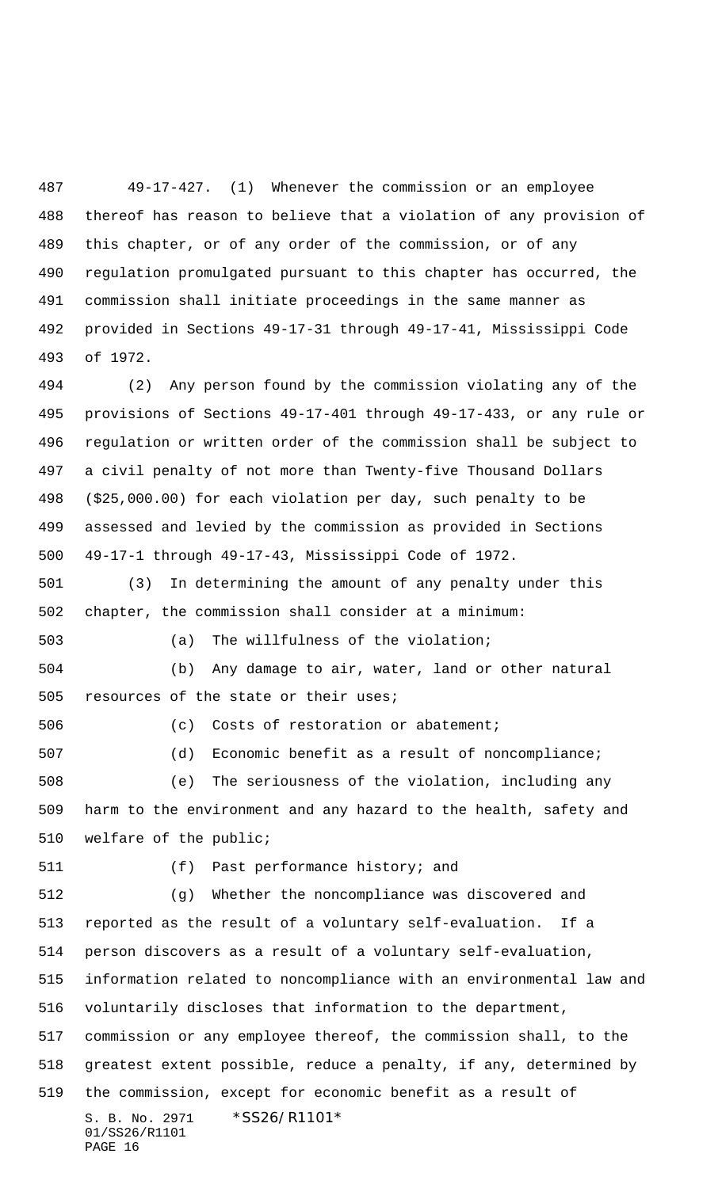49-17-427. (1) Whenever the commission or an employee thereof has reason to believe that a violation of any provision of this chapter, or of any order of the commission, or of any regulation promulgated pursuant to this chapter has occurred, the commission shall initiate proceedings in the same manner as provided in Sections 49-17-31 through 49-17-41, Mississippi Code of 1972.

 (2) Any person found by the commission violating any of the provisions of Sections 49-17-401 through 49-17-433, or any rule or regulation or written order of the commission shall be subject to a civil penalty of not more than Twenty-five Thousand Dollars (\$25,000.00) for each violation per day, such penalty to be assessed and levied by the commission as provided in Sections 49-17-1 through 49-17-43, Mississippi Code of 1972.

 (3) In determining the amount of any penalty under this chapter, the commission shall consider at a minimum: (a) The willfulness of the violation;

 (b) Any damage to air, water, land or other natural 505 resources of the state or their uses;

 (c) Costs of restoration or abatement; (d) Economic benefit as a result of noncompliance; (e) The seriousness of the violation, including any harm to the environment and any hazard to the health, safety and welfare of the public;

(f) Past performance history; and

S. B. No. 2971 \* SS26/R1101\* 01/SS26/R1101 PAGE 16 (g) Whether the noncompliance was discovered and reported as the result of a voluntary self-evaluation. If a person discovers as a result of a voluntary self-evaluation, information related to noncompliance with an environmental law and voluntarily discloses that information to the department, commission or any employee thereof, the commission shall, to the greatest extent possible, reduce a penalty, if any, determined by the commission, except for economic benefit as a result of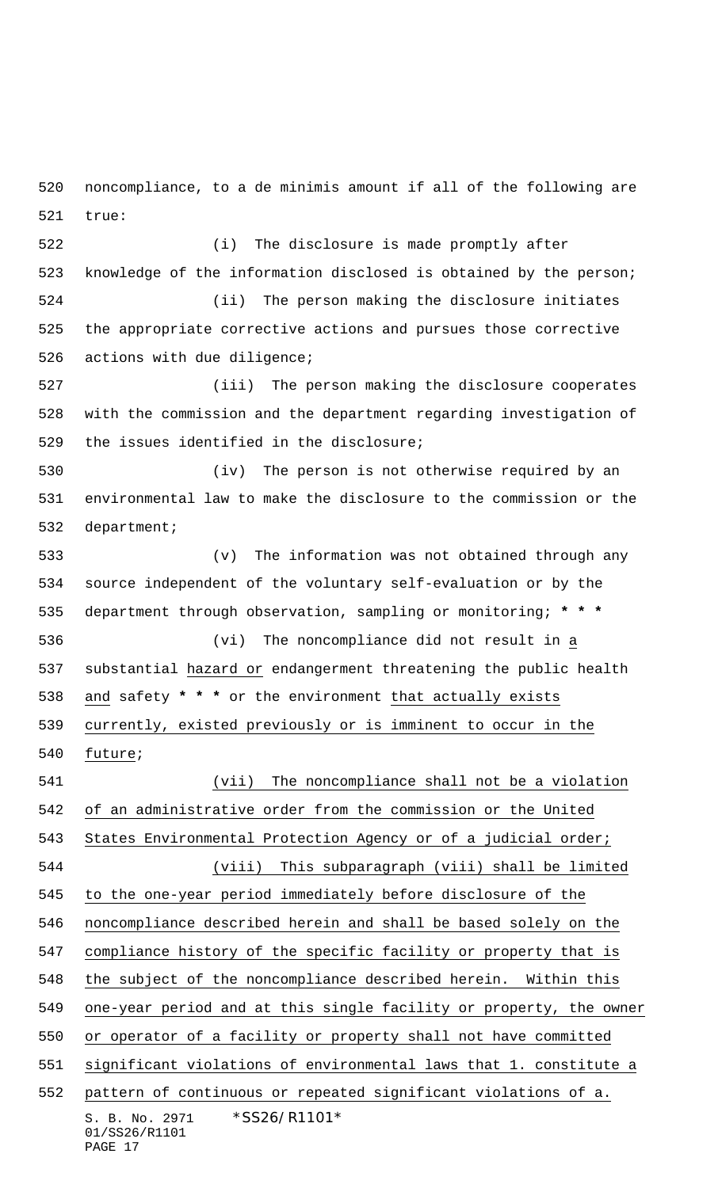noncompliance, to a de minimis amount if all of the following are true:

 (i) The disclosure is made promptly after knowledge of the information disclosed is obtained by the person; (ii) The person making the disclosure initiates the appropriate corrective actions and pursues those corrective actions with due diligence; (iii) The person making the disclosure cooperates with the commission and the department regarding investigation of the issues identified in the disclosure; (iv) The person is not otherwise required by an environmental law to make the disclosure to the commission or the department; (v) The information was not obtained through any source independent of the voluntary self-evaluation or by the department through observation, sampling or monitoring; **\* \* \*** (vi) The noncompliance did not result in a substantial hazard or endangerment threatening the public health and safety **\* \* \*** or the environment that actually exists currently, existed previously or is imminent to occur in the future; (vii) The noncompliance shall not be a violation of an administrative order from the commission or the United

S. B. No. 2971 \* SS26/R1101\* 01/SS26/R1101 PAGE 17 (viii) This subparagraph (viii) shall be limited to the one-year period immediately before disclosure of the noncompliance described herein and shall be based solely on the compliance history of the specific facility or property that is the subject of the noncompliance described herein. Within this one-year period and at this single facility or property, the owner or operator of a facility or property shall not have committed significant violations of environmental laws that 1. constitute a pattern of continuous or repeated significant violations of a.

States Environmental Protection Agency or of a judicial order;